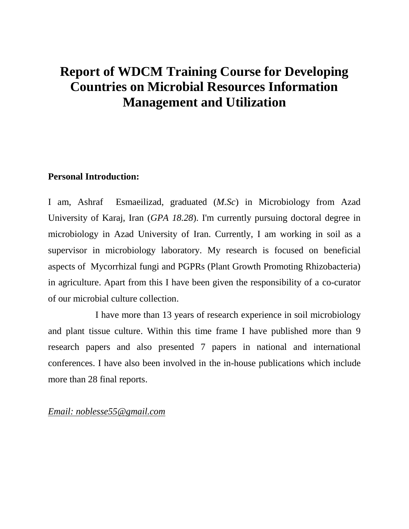# **Report of WDCM Training Course for Developing Countries on Microbial Resources Information Management and Utilization**

# **Personal Introduction:**

I am, Ashraf Esmaeilizad, graduated (*M.Sc*) in Microbiology from Azad University of Karaj, Iran (*GPA 18.28*). I'm currently pursuing doctoral degree in microbiology in Azad University of Iran. Currently, I am working in soil as a supervisor in microbiology laboratory. My research is focused on beneficial aspects of Mycorrhizal fungi and PGPRs (Plant Growth Promoting Rhizobacteria) in agriculture. Apart from this I have been given the responsibility of a co-curator of our microbial culture collection.

I have more than 13 years of research experience in soil microbiology and plant tissue culture. Within this time frame I have published more than 9 research papers and also presented 7 papers in national and international conferences. I have also been involved in the in-house publications which include more than 28 final reports.

## *Email: noblesse55@gmail.com*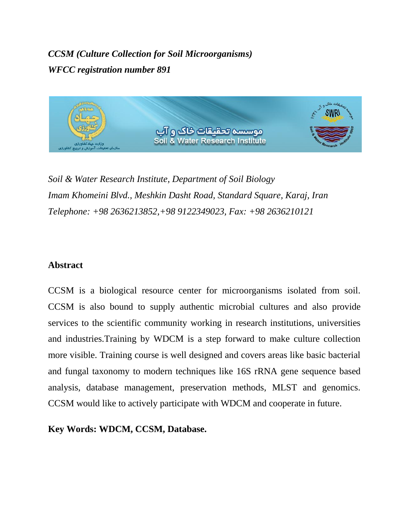*CCSM (Culture Collection for Soil Microorganisms) WFCC registration number 891*



*Soil & Water Research Institute, Department of Soil Biology Imam Khomeini Blvd., Meshkin Dasht Road, Standard Square, Karaj, Iran Telephone: +98 2636213852,+98 9122349023, Fax: +98 2636210121*

# **Abstract**

CCSM is a biological resource center for microorganisms isolated from soil. CCSM is also bound to supply authentic microbial cultures and also provide services to the scientific community working in research institutions, universities and industries.Training by WDCM is a step forward to make culture collection more visible. Training course is well designed and covers areas like basic bacterial and fungal taxonomy to modern techniques like 16S rRNA gene sequence based analysis, database management, preservation methods, MLST and genomics. CCSM would like to actively participate with WDCM and cooperate in future.

**Key Words: WDCM, CCSM, Database.**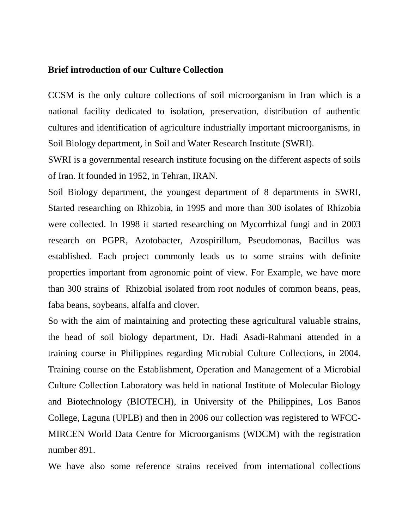#### **Brief introduction of our Culture Collection**

CCSM is the only culture collections of soil microorganism in Iran which is a national facility dedicated to isolation, preservation, distribution of authentic cultures and identification of agriculture industrially important microorganisms, in Soil Biology department, in Soil and Water Research Institute (SWRI).

SWRI is a governmental research institute focusing on the different aspects of soils of Iran. It founded in 1952, in Tehran, IRAN.

Soil Biology department, the youngest department of 8 departments in SWRI, Started researching on Rhizobia, in 1995 and more than 300 isolates of Rhizobia were collected. In 1998 it started researching on Mycorrhizal fungi and in 2003 research on PGPR, Azotobacter, Azospirillum, Pseudomonas, Bacillus was established. Each project commonly leads us to some strains with definite properties important from agronomic point of view. For Example, we have more than 300 strains of Rhizobial isolated from root nodules of common beans, peas, faba beans, soybeans, alfalfa and clover.

So with the aim of maintaining and protecting these agricultural valuable strains, the head of soil biology department, Dr. Hadi Asadi-Rahmani attended in a training course in Philippines regarding Microbial Culture Collections, in 2004. Training course on the Establishment, Operation and Management of a Microbial Culture Collection Laboratory was held in national Institute of Molecular Biology and Biotechnology (BIOTECH), in University of the Philippines, Los Banos College, Laguna (UPLB) and then in 2006 our collection was registered to WFCC-MIRCEN World Data Centre for Microorganisms (WDCM) with the registration number 891.

We have also some reference strains received from international collections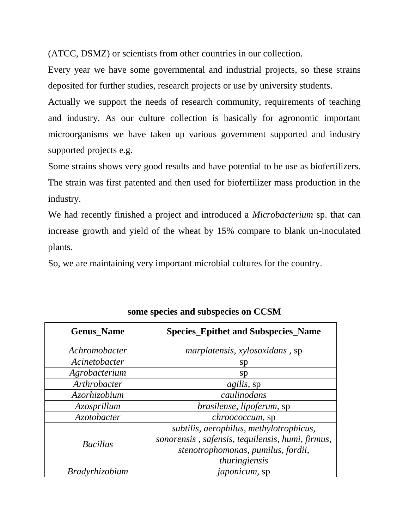(ATCC, DSMZ) or scientists from other countries in our collection.

Every year we have some governmental and industrial projects, so these strains deposited for further studies, research projects or use by university students.

Actually we support the needs of research community, requirements of teaching and industry. As our culture collection is basically for agronomic important microorganisms we have taken up various government supported and industry supported projects e.g.

Some strains shows very good results and have potential to be use as biofertilizers. The strain was first patented and then used for biofertilizer mass production in the industry.

We had recently finished a project and introduced a *Microbacterium* sp. that can increase growth and yield of the wheat by 15% compare to blank un-inoculated plants.

So, we are maintaining very important microbial cultures for the country.

| <b>Genus Name</b>     | <b>Species_Epithet and Subspecies_Name</b>       |
|-----------------------|--------------------------------------------------|
| Achromobacter         | <i>marplatensis, xylosoxidans, sp</i>            |
| Acinetobacter         | sp                                               |
| Agrobacterium         | <sub>S</sub> p                                   |
| Arthrobacter          | <i>agilis</i> , sp                               |
| <i>Azorhizobium</i>   | caulinodans                                      |
| Azosprillum           | brasilense, lipoferum, sp                        |
| <i>Azotobacter</i>    | <i>chroococcum</i> , sp                          |
| <b>Bacillus</b>       | subtilis, aerophilus, methylotrophicus,          |
|                       | sonorensis, safensis, tequilensis, humi, firmus, |
|                       | stenotrophomonas, pumilus, fordii,               |
|                       | thuringiensis                                    |
| <i>Bradyrhizobium</i> | <i>japonicum</i> , sp                            |

**some species and subspecies on CCSM**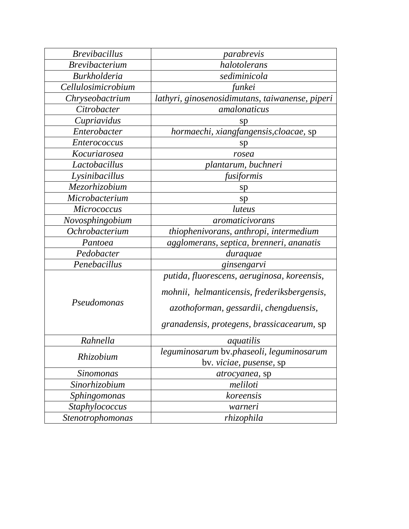| <b>Brevibacillus</b>  | parabrevis                                                                                                                                                                         |
|-----------------------|------------------------------------------------------------------------------------------------------------------------------------------------------------------------------------|
| <b>Brevibacterium</b> | halotolerans                                                                                                                                                                       |
| <b>Burkholderia</b>   | sediminicola                                                                                                                                                                       |
| Cellulosimicrobium    | funkei                                                                                                                                                                             |
| Chryseobactrium       | lathyri, ginosenosidimutans, taiwanense, piperi                                                                                                                                    |
| Citrobacter           | amalonaticus                                                                                                                                                                       |
| Cupriavidus           | sp                                                                                                                                                                                 |
| Enterobacter          | hormaechi, xiangfangensis, cloacae, sp                                                                                                                                             |
| <i>Enterococcus</i>   | sp                                                                                                                                                                                 |
| Kocuriarosea          | rosea                                                                                                                                                                              |
| Lactobacillus         | plantarum, buchneri                                                                                                                                                                |
| Lysinibacillus        | fusiformis                                                                                                                                                                         |
| Mezorhizobium         | sp                                                                                                                                                                                 |
| Microbacterium        | sp                                                                                                                                                                                 |
| <b>Micrococcus</b>    | luteus                                                                                                                                                                             |
| Novosphingobium       | <i>aromaticivorans</i>                                                                                                                                                             |
| Ochrobacterium        | thiophenivorans, anthropi, intermedium                                                                                                                                             |
| Pantoea               | agglomerans, septica, brenneri, ananatis                                                                                                                                           |
| Pedobacter            | duraquae                                                                                                                                                                           |
| Penebacillus          | ginsengarvi                                                                                                                                                                        |
| Pseudomonas           | putida, fluorescens, aeruginosa, koreensis,<br>mohnii, helmanticensis, frederiksbergensis,<br>azothoforman, gessardii, chengduensis,<br>granadensis, protegens, brassicacearum, sp |
| Rahnella              | aquatilis                                                                                                                                                                          |
| Rhizobium             | leguminosarum bv.phaseoli, leguminosarum<br>by. <i>viciae</i> , <i>pusense</i> , <i>sp</i>                                                                                         |
| <b>Sinomonas</b>      | atrocyanea, sp                                                                                                                                                                     |
| Sinorhizobium         | meliloti                                                                                                                                                                           |
| Sphingomonas          | koreensis                                                                                                                                                                          |
| Staphylococcus        | warneri                                                                                                                                                                            |
| Stenotrophomonas      | rhizophila                                                                                                                                                                         |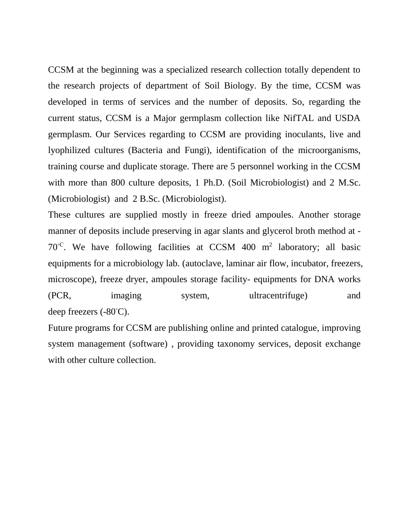CCSM at the beginning was a specialized research collection totally dependent to the research projects of department of Soil Biology. By the time, CCSM was developed in terms of services and the number of deposits. So, regarding the current status, CCSM is a Major germplasm collection like NifTAL and USDA germplasm. Our Services regarding to CCSM are providing inoculants, live and lyophilized cultures (Bacteria and Fungi), identification of the microorganisms, training course and duplicate storage. There are 5 personnel working in the CCSM with more than 800 culture deposits, 1 Ph.D. (Soil Microbiologist) and 2 M.Sc. (Microbiologist) and 2 B.Sc. (Microbiologist).

These cultures are supplied mostly in freeze dried ampoules. Another storage manner of deposits include preserving in agar slants and glycerol broth method at -  $70^{\circ}$ C. We have following facilities at CCSM 400 m<sup>2</sup> laboratory; all basic equipments for a microbiology lab. (autoclave, laminar air flow, incubator, freezers, microscope), freeze dryer, ampoules storage facility- equipments for DNA works (PCR, imaging system, ultracentrifuge) and deep freezers (-80◦C).

Future programs for CCSM are publishing online and printed catalogue, improving system management (software) , providing taxonomy services, deposit exchange with other culture collection.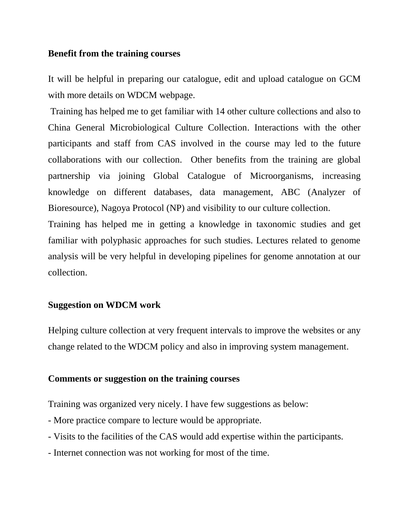## **Benefit from the training courses**

It will be helpful in preparing our catalogue, edit and upload catalogue on GCM with more details on WDCM webpage.

Training has helped me to get familiar with 14 other culture collections and also to China General Microbiological Culture Collection. Interactions with the other participants and staff from CAS involved in the course may led to the future collaborations with our collection. Other benefits from the training are global partnership via joining Global Catalogue of Microorganisms, increasing knowledge on different databases, data management, ABC (Analyzer of Bioresource), Nagoya Protocol (NP) and visibility to our culture collection.

Training has helped me in getting a knowledge in taxonomic studies and get familiar with polyphasic approaches for such studies. Lectures related to genome analysis will be very helpful in developing pipelines for genome annotation at our collection.

## **Suggestion on WDCM work**

Helping culture collection at very frequent intervals to improve the websites or any change related to the WDCM policy and also in improving system management.

## **Comments or suggestion on the training courses**

Training was organized very nicely. I have few suggestions as below:

- More practice compare to lecture would be appropriate.
- Visits to the facilities of the CAS would add expertise within the participants.
- Internet connection was not working for most of the time.